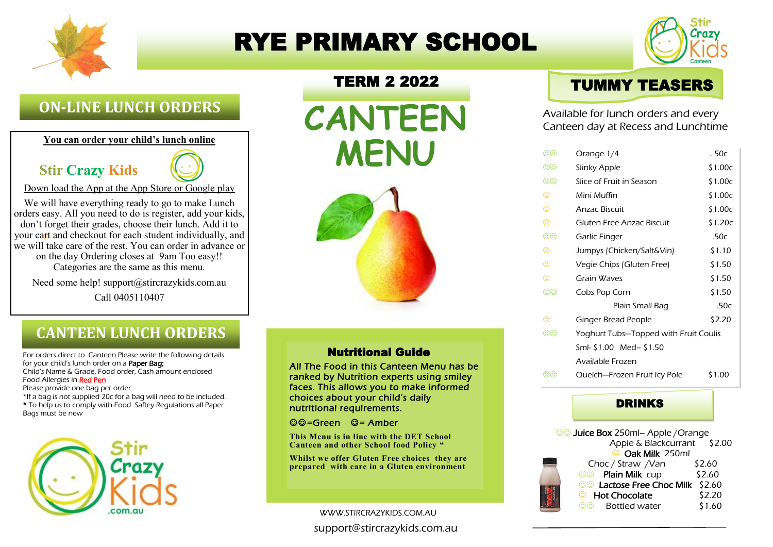

# RYE PRIMARY SCHOOL



### **ON-LINE LUNCH ORDERS**

**You can order your child's lunch online**

### **Stir Crazy Kids**



Down load the App at the App Store or Google play

We will have everything ready to go to make Lunch orders easy. All you need to do is register, add your kids, don't forget their grades, choose their lunch. Add it to your cart and checkout for each student individually, and we will take care of the rest. You can order in advance or on the day Ordering closes at 9am Too easy!! Categories are the same as this menu.

Need some help! support@stircrazykids.com.au Call 0405110407

# **CANTEEN LUNCH ORDERS**

For orders direct to Canteen Please write the following details for your child's lunch order on a **Paper Bag:** Child's Name & Grade, Food order, Cash amount enclosed Food Allergies in Red Pen

Please provide one bag per order

\*If a bag is not supplied 20c for a bag will need to be included. \* To help us to comply with Food Saftey Regulations all Paper Bags must be new



TERM 2 2022

**CANTEEN MENU**



#### Nutritional Guide

All The Food in this Canteen Menu has be ranked by Nutrition experts using smiley faces. This allows you to make informed choices about your child's daily nutritional requirements.

☺☺=Green ☺= Amber

**This Menu is in line with the DET School Canteen and other School food Policy "**

**Whilst we offer Gluten Free choices they are prepared with care in a Gluten environment**

WWW.STIRCRAZYKIDS.COM.AU

support@stircrazykids.com.au



Available for lunch orders and every Canteen day at Recess and Lunchtime

| ©©             | Orange 1/4                            | . 50с   |
|----------------|---------------------------------------|---------|
| $\odot\odot$   | Slinky Apple                          | \$1.00c |
| $\odot\odot$   | Slice of Fruit in Season              | \$1.00c |
| ☺              | Mini Muffin                           | \$1.00c |
| ☺              | Anzac Biscuit                         | \$1.00c |
| ☺              | Gluten Free Anzac Biscuit             | \$1.20c |
| $\circledcirc$ | Garlic Finger                         | .50c    |
| ☺              | Jumpys (Chicken/Salt&Vin)             | \$1.10  |
| ☺              | Vegie Chips (Gluten Free)             | \$1.50  |
| ☺              | Grain Waves                           | \$1.50  |
| $\odot\odot$   | Cobs Pop Corn                         | \$1.50  |
|                | Plain Small Bag                       | .50c    |
| ☺              | Ginger Bread People                   | \$2.20  |
| ගග             | Yoghurt Tubs-Topped with Fruit Coulis |         |
|                | Sml- \$1.00 Med- \$1.50               |         |
|                | Available Frozen                      |         |
| හල             | Quelch-Frozen Fruit Icy Pole          | \$1.00  |

#### DRINKS

©© Juice Box 250ml- Apple /Orange Apple & Blackcurrant \$2.00 ☺ Oak Milk 250ml Choc / Straw /Van  $$2.60$ <br> **C** Plain Milk cup  $$2.60$ **©©** Plain Milk cup ☺☺ Lactose Free Choc Milk \$2.60 ☺ Hot Chocolate \$2.20 ☺☺ Bottled water \$1.60